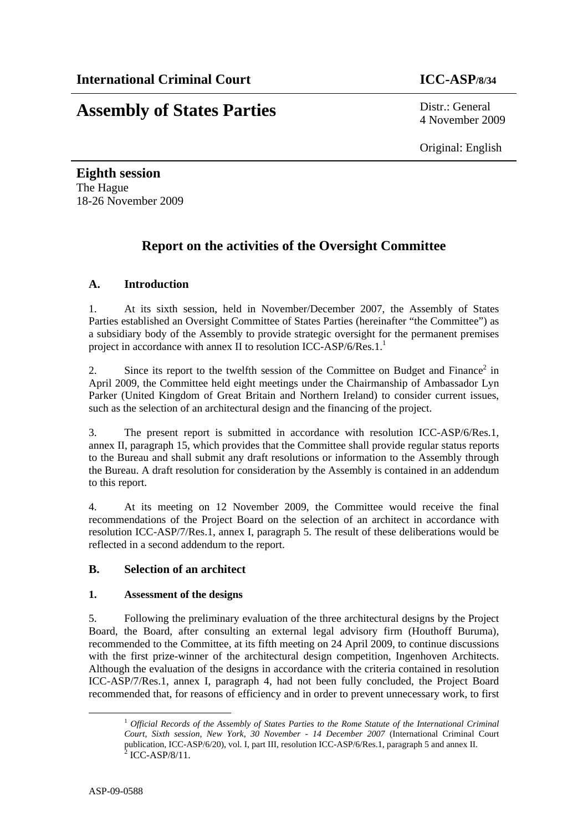**Assembly of States Parties** Distr.: General

4 November 2009

Original: English

**Eighth session**  The Hague 18-26 November 2009

# **Report on the activities of the Oversight Committee**

# **A. Introduction**

1. At its sixth session, held in November/December 2007, the Assembly of States Parties established an Oversight Committee of States Parties (hereinafter "the Committee") as a subsidiary body of the Assembly to provide strategic oversight for the permanent premises project in accordance with annex II to resolution ICC-ASP/6/Res.1.<sup>1</sup>

2. Since its report to the twelfth session of the Committee on Budget and Finance<sup>2</sup> in April 2009, the Committee held eight meetings under the Chairmanship of Ambassador Lyn Parker (United Kingdom of Great Britain and Northern Ireland) to consider current issues, such as the selection of an architectural design and the financing of the project.

3. The present report is submitted in accordance with resolution ICC-ASP/6/Res.1, annex II, paragraph 15, which provides that the Committee shall provide regular status reports to the Bureau and shall submit any draft resolutions or information to the Assembly through the Bureau. A draft resolution for consideration by the Assembly is contained in an addendum to this report.

4. At its meeting on 12 November 2009, the Committee would receive the final recommendations of the Project Board on the selection of an architect in accordance with resolution ICC-ASP/7/Res.1, annex I, paragraph 5. The result of these deliberations would be reflected in a second addendum to the report.

# **B. Selection of an architect**

#### **1. Assessment of the designs**

5. Following the preliminary evaluation of the three architectural designs by the Project Board, the Board, after consulting an external legal advisory firm (Houthoff Buruma), recommended to the Committee, at its fifth meeting on 24 April 2009, to continue discussions with the first prize-winner of the architectural design competition, Ingenhoven Architects. Although the evaluation of the designs in accordance with the criteria contained in resolution ICC-ASP/7/Res.1, annex I, paragraph 4, had not been fully concluded, the Project Board recommended that, for reasons of efficiency and in order to prevent unnecessary work, to first

 <sup>1</sup> *Official Records of the Assembly of States Parties to the Rome Statute of the International Criminal Court, Sixth session, New York, 30 November - 14 December 2007* (International Criminal Court publication, ICC-ASP/6/20), vol. I, part III, resolution ICC-ASP/6/Res.1, paragraph 5 and annex II.<br><sup>2</sup> ICC-ASP/8/11.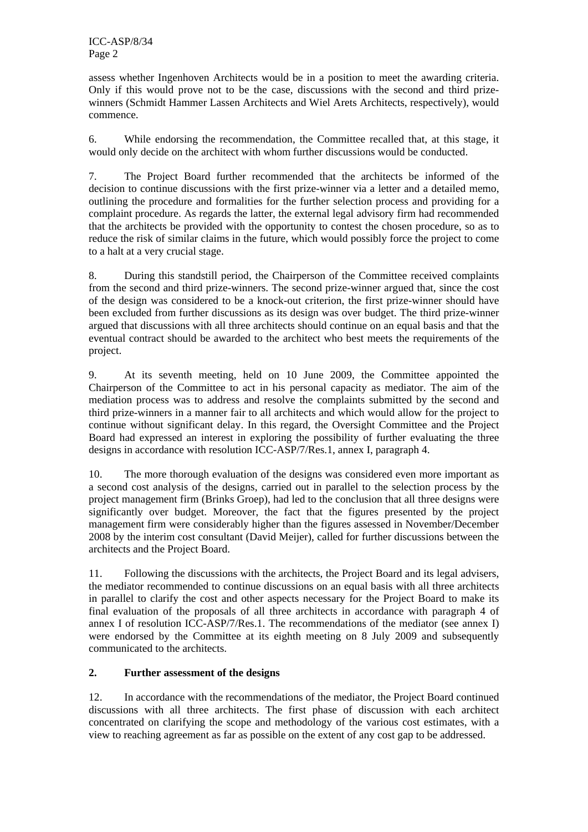assess whether Ingenhoven Architects would be in a position to meet the awarding criteria. Only if this would prove not to be the case, discussions with the second and third prizewinners (Schmidt Hammer Lassen Architects and Wiel Arets Architects, respectively), would commence.

6. While endorsing the recommendation, the Committee recalled that, at this stage, it would only decide on the architect with whom further discussions would be conducted.

7. The Project Board further recommended that the architects be informed of the decision to continue discussions with the first prize-winner via a letter and a detailed memo, outlining the procedure and formalities for the further selection process and providing for a complaint procedure. As regards the latter, the external legal advisory firm had recommended that the architects be provided with the opportunity to contest the chosen procedure, so as to reduce the risk of similar claims in the future, which would possibly force the project to come to a halt at a very crucial stage.

8. During this standstill period, the Chairperson of the Committee received complaints from the second and third prize-winners. The second prize-winner argued that, since the cost of the design was considered to be a knock-out criterion, the first prize-winner should have been excluded from further discussions as its design was over budget. The third prize-winner argued that discussions with all three architects should continue on an equal basis and that the eventual contract should be awarded to the architect who best meets the requirements of the project.

9. At its seventh meeting, held on 10 June 2009, the Committee appointed the Chairperson of the Committee to act in his personal capacity as mediator. The aim of the mediation process was to address and resolve the complaints submitted by the second and third prize-winners in a manner fair to all architects and which would allow for the project to continue without significant delay. In this regard, the Oversight Committee and the Project Board had expressed an interest in exploring the possibility of further evaluating the three designs in accordance with resolution ICC-ASP/7/Res.1, annex I, paragraph 4.

10. The more thorough evaluation of the designs was considered even more important as a second cost analysis of the designs, carried out in parallel to the selection process by the project management firm (Brinks Groep), had led to the conclusion that all three designs were significantly over budget. Moreover, the fact that the figures presented by the project management firm were considerably higher than the figures assessed in November/December 2008 by the interim cost consultant (David Meijer), called for further discussions between the architects and the Project Board.

11. Following the discussions with the architects, the Project Board and its legal advisers, the mediator recommended to continue discussions on an equal basis with all three architects in parallel to clarify the cost and other aspects necessary for the Project Board to make its final evaluation of the proposals of all three architects in accordance with paragraph 4 of annex I of resolution ICC-ASP/7/Res.1. The recommendations of the mediator (see annex I) were endorsed by the Committee at its eighth meeting on 8 July 2009 and subsequently communicated to the architects.

# **2. Further assessment of the designs**

12. In accordance with the recommendations of the mediator, the Project Board continued discussions with all three architects. The first phase of discussion with each architect concentrated on clarifying the scope and methodology of the various cost estimates, with a view to reaching agreement as far as possible on the extent of any cost gap to be addressed.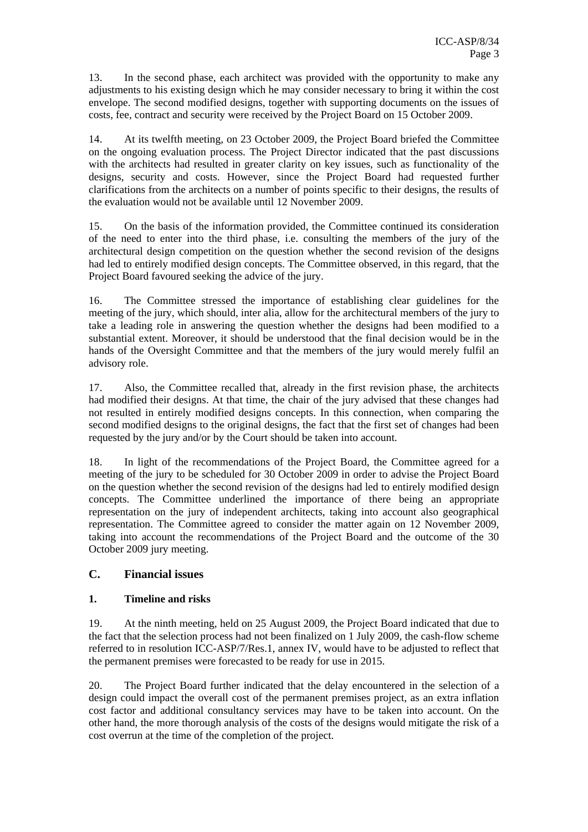13. In the second phase, each architect was provided with the opportunity to make any adjustments to his existing design which he may consider necessary to bring it within the cost envelope. The second modified designs, together with supporting documents on the issues of costs, fee, contract and security were received by the Project Board on 15 October 2009.

14. At its twelfth meeting, on 23 October 2009, the Project Board briefed the Committee on the ongoing evaluation process. The Project Director indicated that the past discussions with the architects had resulted in greater clarity on key issues, such as functionality of the designs, security and costs. However, since the Project Board had requested further clarifications from the architects on a number of points specific to their designs, the results of the evaluation would not be available until 12 November 2009.

15. On the basis of the information provided, the Committee continued its consideration of the need to enter into the third phase, i.e. consulting the members of the jury of the architectural design competition on the question whether the second revision of the designs had led to entirely modified design concepts. The Committee observed, in this regard, that the Project Board favoured seeking the advice of the jury.

16. The Committee stressed the importance of establishing clear guidelines for the meeting of the jury, which should, inter alia, allow for the architectural members of the jury to take a leading role in answering the question whether the designs had been modified to a substantial extent. Moreover, it should be understood that the final decision would be in the hands of the Oversight Committee and that the members of the jury would merely fulfil an advisory role.

17. Also, the Committee recalled that, already in the first revision phase, the architects had modified their designs. At that time, the chair of the jury advised that these changes had not resulted in entirely modified designs concepts. In this connection, when comparing the second modified designs to the original designs, the fact that the first set of changes had been requested by the jury and/or by the Court should be taken into account.

18. In light of the recommendations of the Project Board, the Committee agreed for a meeting of the jury to be scheduled for 30 October 2009 in order to advise the Project Board on the question whether the second revision of the designs had led to entirely modified design concepts. The Committee underlined the importance of there being an appropriate representation on the jury of independent architects, taking into account also geographical representation. The Committee agreed to consider the matter again on 12 November 2009, taking into account the recommendations of the Project Board and the outcome of the 30 October 2009 jury meeting.

# **C. Financial issues**

#### **1. Timeline and risks**

19. At the ninth meeting, held on 25 August 2009, the Project Board indicated that due to the fact that the selection process had not been finalized on 1 July 2009, the cash-flow scheme referred to in resolution ICC-ASP/7/Res.1, annex IV, would have to be adjusted to reflect that the permanent premises were forecasted to be ready for use in 2015.

20. The Project Board further indicated that the delay encountered in the selection of a design could impact the overall cost of the permanent premises project, as an extra inflation cost factor and additional consultancy services may have to be taken into account. On the other hand, the more thorough analysis of the costs of the designs would mitigate the risk of a cost overrun at the time of the completion of the project.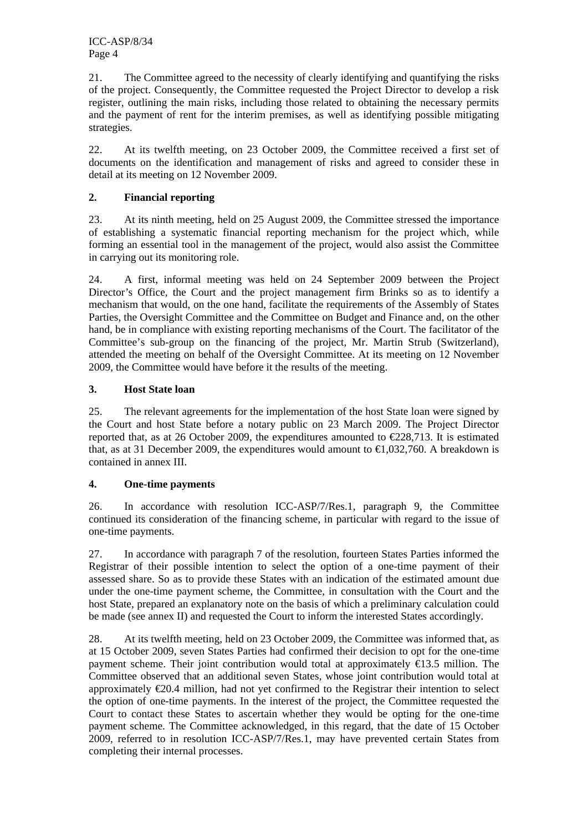ICC-ASP/8/34 Page 4

21. The Committee agreed to the necessity of clearly identifying and quantifying the risks of the project. Consequently, the Committee requested the Project Director to develop a risk register, outlining the main risks, including those related to obtaining the necessary permits and the payment of rent for the interim premises, as well as identifying possible mitigating strategies.

22. At its twelfth meeting, on 23 October 2009, the Committee received a first set of documents on the identification and management of risks and agreed to consider these in detail at its meeting on 12 November 2009.

#### **2. Financial reporting**

23. At its ninth meeting, held on 25 August 2009, the Committee stressed the importance of establishing a systematic financial reporting mechanism for the project which, while forming an essential tool in the management of the project, would also assist the Committee in carrying out its monitoring role.

24. A first, informal meeting was held on 24 September 2009 between the Project Director's Office, the Court and the project management firm Brinks so as to identify a mechanism that would, on the one hand, facilitate the requirements of the Assembly of States Parties, the Oversight Committee and the Committee on Budget and Finance and, on the other hand, be in compliance with existing reporting mechanisms of the Court. The facilitator of the Committee's sub-group on the financing of the project, Mr. Martin Strub (Switzerland), attended the meeting on behalf of the Oversight Committee. At its meeting on 12 November 2009, the Committee would have before it the results of the meeting.

#### **3. Host State loan**

25. The relevant agreements for the implementation of the host State loan were signed by the Court and host State before a notary public on 23 March 2009. The Project Director reported that, as at 26 October 2009, the expenditures amounted to  $\epsilon$ 228,713. It is estimated that, as at 31 December 2009, the expenditures would amount to  $\text{ } \infty$  1,032,760. A breakdown is contained in annex III.

#### **4. One-time payments**

26. In accordance with resolution ICC-ASP/7/Res.1, paragraph 9, the Committee continued its consideration of the financing scheme, in particular with regard to the issue of one-time payments.

27. In accordance with paragraph 7 of the resolution, fourteen States Parties informed the Registrar of their possible intention to select the option of a one-time payment of their assessed share. So as to provide these States with an indication of the estimated amount due under the one-time payment scheme, the Committee, in consultation with the Court and the host State, prepared an explanatory note on the basis of which a preliminary calculation could be made (see annex II) and requested the Court to inform the interested States accordingly.

28. At its twelfth meeting, held on 23 October 2009, the Committee was informed that, as at 15 October 2009, seven States Parties had confirmed their decision to opt for the one-time payment scheme. Their joint contribution would total at approximately  $\epsilon$ 13.5 million. The Committee observed that an additional seven States, whose joint contribution would total at approximately  $\epsilon$ 20.4 million, had not yet confirmed to the Registrar their intention to select the option of one-time payments. In the interest of the project, the Committee requested the Court to contact these States to ascertain whether they would be opting for the one-time payment scheme. The Committee acknowledged, in this regard, that the date of 15 October 2009, referred to in resolution ICC-ASP/7/Res.1, may have prevented certain States from completing their internal processes.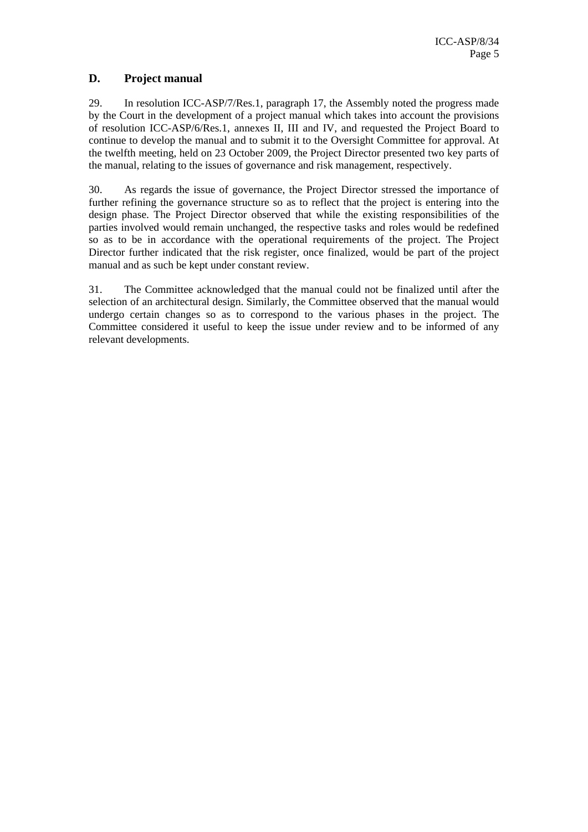### **D. Project manual**

29. In resolution ICC-ASP/7/Res.1, paragraph 17, the Assembly noted the progress made by the Court in the development of a project manual which takes into account the provisions of resolution ICC-ASP/6/Res.1, annexes II, III and IV, and requested the Project Board to continue to develop the manual and to submit it to the Oversight Committee for approval. At the twelfth meeting, held on 23 October 2009, the Project Director presented two key parts of the manual, relating to the issues of governance and risk management, respectively.

30. As regards the issue of governance, the Project Director stressed the importance of further refining the governance structure so as to reflect that the project is entering into the design phase. The Project Director observed that while the existing responsibilities of the parties involved would remain unchanged, the respective tasks and roles would be redefined so as to be in accordance with the operational requirements of the project. The Project Director further indicated that the risk register, once finalized, would be part of the project manual and as such be kept under constant review.

31. The Committee acknowledged that the manual could not be finalized until after the selection of an architectural design. Similarly, the Committee observed that the manual would undergo certain changes so as to correspond to the various phases in the project. The Committee considered it useful to keep the issue under review and to be informed of any relevant developments.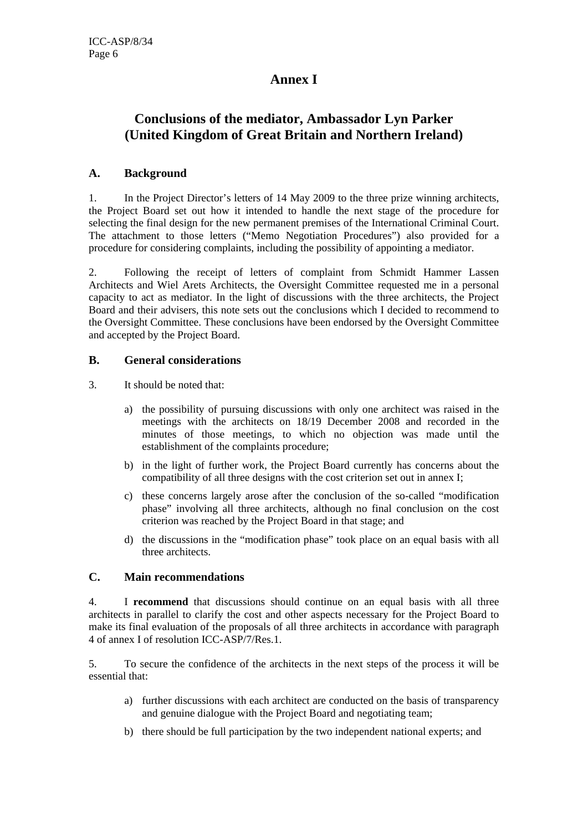# **Annex I**

# **Conclusions of the mediator, Ambassador Lyn Parker (United Kingdom of Great Britain and Northern Ireland)**

#### **A. Background**

1. In the Project Director's letters of 14 May 2009 to the three prize winning architects, the Project Board set out how it intended to handle the next stage of the procedure for selecting the final design for the new permanent premises of the International Criminal Court. The attachment to those letters ("Memo Negotiation Procedures") also provided for a procedure for considering complaints, including the possibility of appointing a mediator.

2. Following the receipt of letters of complaint from Schmidt Hammer Lassen Architects and Wiel Arets Architects, the Oversight Committee requested me in a personal capacity to act as mediator. In the light of discussions with the three architects, the Project Board and their advisers, this note sets out the conclusions which I decided to recommend to the Oversight Committee. These conclusions have been endorsed by the Oversight Committee and accepted by the Project Board.

#### **B. General considerations**

- 3. It should be noted that:
	- a) the possibility of pursuing discussions with only one architect was raised in the meetings with the architects on 18/19 December 2008 and recorded in the minutes of those meetings, to which no objection was made until the establishment of the complaints procedure;
	- b) in the light of further work, the Project Board currently has concerns about the compatibility of all three designs with the cost criterion set out in annex I;
	- c) these concerns largely arose after the conclusion of the so-called "modification phase" involving all three architects, although no final conclusion on the cost criterion was reached by the Project Board in that stage; and
	- d) the discussions in the "modification phase" took place on an equal basis with all three architects.

#### **C. Main recommendations**

4. I **recommend** that discussions should continue on an equal basis with all three architects in parallel to clarify the cost and other aspects necessary for the Project Board to make its final evaluation of the proposals of all three architects in accordance with paragraph 4 of annex I of resolution ICC-ASP/7/Res.1.

5. To secure the confidence of the architects in the next steps of the process it will be essential that:

- a) further discussions with each architect are conducted on the basis of transparency and genuine dialogue with the Project Board and negotiating team;
- b) there should be full participation by the two independent national experts; and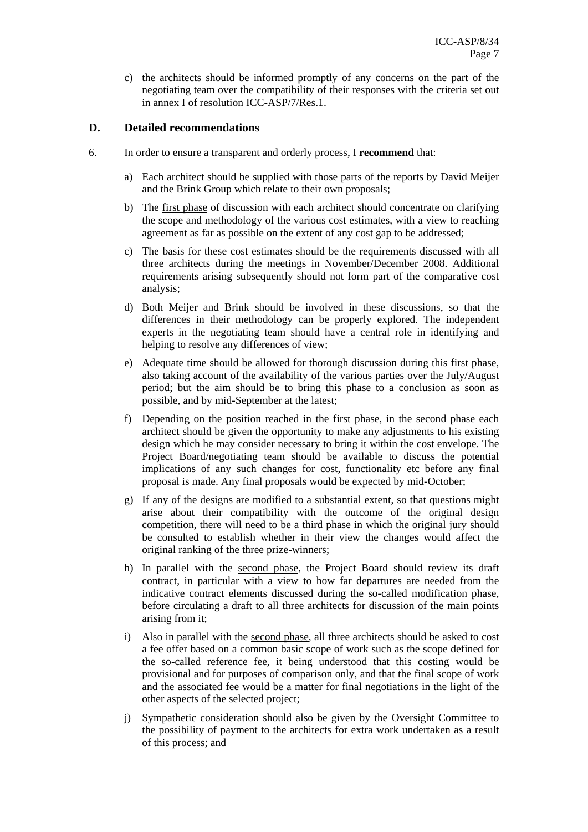c) the architects should be informed promptly of any concerns on the part of the negotiating team over the compatibility of their responses with the criteria set out in annex I of resolution ICC-ASP/7/Res.1.

#### **D. Detailed recommendations**

- 6. In order to ensure a transparent and orderly process, I **recommend** that:
	- a) Each architect should be supplied with those parts of the reports by David Meijer and the Brink Group which relate to their own proposals;
	- b) The first phase of discussion with each architect should concentrate on clarifying the scope and methodology of the various cost estimates, with a view to reaching agreement as far as possible on the extent of any cost gap to be addressed;
	- c) The basis for these cost estimates should be the requirements discussed with all three architects during the meetings in November/December 2008. Additional requirements arising subsequently should not form part of the comparative cost analysis;
	- d) Both Meijer and Brink should be involved in these discussions, so that the differences in their methodology can be properly explored. The independent experts in the negotiating team should have a central role in identifying and helping to resolve any differences of view;
	- e) Adequate time should be allowed for thorough discussion during this first phase, also taking account of the availability of the various parties over the July/August period; but the aim should be to bring this phase to a conclusion as soon as possible, and by mid-September at the latest;
	- f) Depending on the position reached in the first phase, in the second phase each architect should be given the opportunity to make any adjustments to his existing design which he may consider necessary to bring it within the cost envelope. The Project Board/negotiating team should be available to discuss the potential implications of any such changes for cost, functionality etc before any final proposal is made. Any final proposals would be expected by mid-October;
	- g) If any of the designs are modified to a substantial extent, so that questions might arise about their compatibility with the outcome of the original design competition, there will need to be a third phase in which the original jury should be consulted to establish whether in their view the changes would affect the original ranking of the three prize-winners;
	- h) In parallel with the second phase, the Project Board should review its draft contract, in particular with a view to how far departures are needed from the indicative contract elements discussed during the so-called modification phase, before circulating a draft to all three architects for discussion of the main points arising from it;
	- i) Also in parallel with the second phase, all three architects should be asked to cost a fee offer based on a common basic scope of work such as the scope defined for the so-called reference fee, it being understood that this costing would be provisional and for purposes of comparison only, and that the final scope of work and the associated fee would be a matter for final negotiations in the light of the other aspects of the selected project;
	- j) Sympathetic consideration should also be given by the Oversight Committee to the possibility of payment to the architects for extra work undertaken as a result of this process; and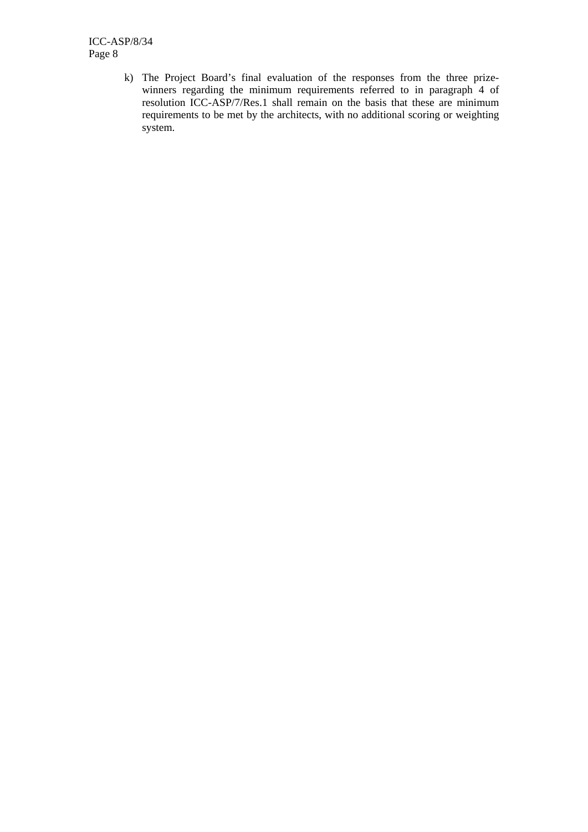ICC-ASP/8/34 Page 8

> k) The Project Board's final evaluation of the responses from the three prizewinners regarding the minimum requirements referred to in paragraph 4 of resolution ICC-ASP/7/Res.1 shall remain on the basis that these are minimum requirements to be met by the architects, with no additional scoring or weighting system.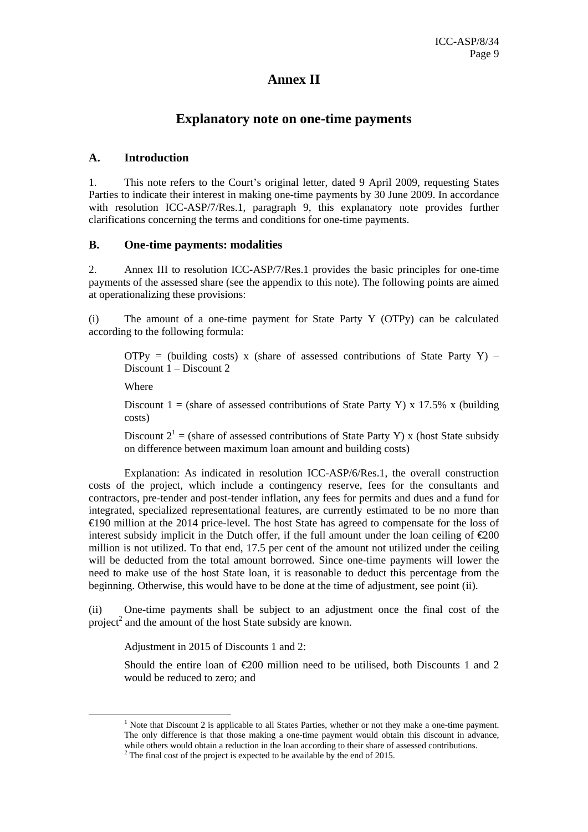# **Annex II**

# **Explanatory note on one-time payments**

#### **A. Introduction**

1. This note refers to the Court's original letter, dated 9 April 2009, requesting States Parties to indicate their interest in making one-time payments by 30 June 2009. In accordance with resolution ICC-ASP/7/Res.1, paragraph 9, this explanatory note provides further clarifications concerning the terms and conditions for one-time payments.

#### **B. One-time payments: modalities**

2. Annex III to resolution ICC-ASP/7/Res.1 provides the basic principles for one-time payments of the assessed share (see the appendix to this note). The following points are aimed at operationalizing these provisions:

(i) The amount of a one-time payment for State Party Y (OTPy) can be calculated according to the following formula:

OTPy = (building costs) x (share of assessed contributions of State Party Y) – Discount 1 – Discount 2

Where

Discount 1 = (share of assessed contributions of State Party Y) x 17.5% x (building costs)

Discount  $2^1$  = (share of assessed contributions of State Party Y) x (host State subsidy on difference between maximum loan amount and building costs)

 Explanation: As indicated in resolution ICC-ASP/6/Res.1, the overall construction costs of the project, which include a contingency reserve, fees for the consultants and contractors, pre-tender and post-tender inflation, any fees for permits and dues and a fund for integrated, specialized representational features, are currently estimated to be no more than €190 million at the 2014 price-level. The host State has agreed to compensate for the loss of interest subsidy implicit in the Dutch offer, if the full amount under the loan ceiling of  $\epsilon 200$ million is not utilized. To that end, 17.5 per cent of the amount not utilized under the ceiling will be deducted from the total amount borrowed. Since one-time payments will lower the need to make use of the host State loan, it is reasonable to deduct this percentage from the beginning. Otherwise, this would have to be done at the time of adjustment, see point (ii).

(ii) One-time payments shall be subject to an adjustment once the final cost of the project<sup>2</sup> and the amount of the host State subsidy are known.

Adjustment in 2015 of Discounts 1 and 2:

Should the entire loan of  $\epsilon 200$  million need to be utilised, both Discounts 1 and 2 would be reduced to zero; and

<sup>1</sup>  $<sup>1</sup>$  Note that Discount 2 is applicable to all States Parties, whether or not they make a one-time payment.</sup> The only difference is that those making a one-time payment would obtain this discount in advance, while others would obtain a reduction in the loan according to their share of assessed contributions.

 $2^2$  The final cost of the project is expected to be available by the end of 2015.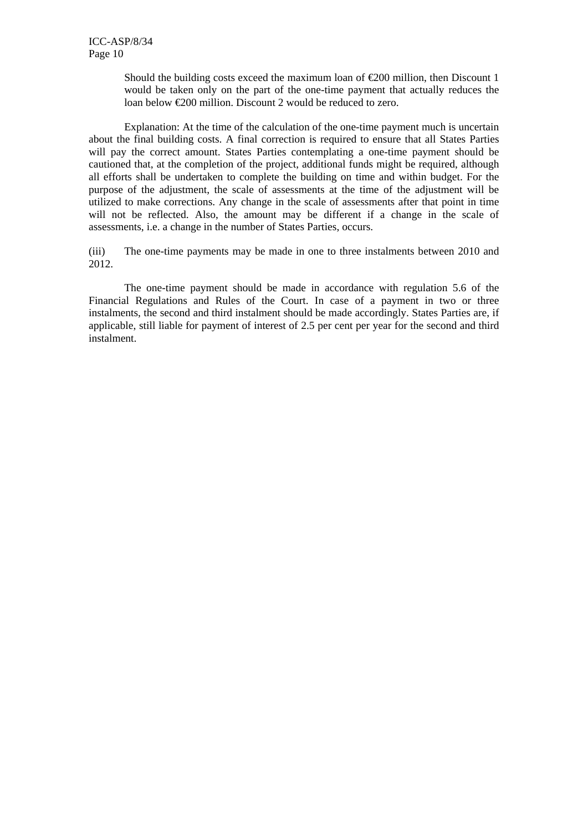Should the building costs exceed the maximum loan of  $\epsilon$ 200 million, then Discount 1 would be taken only on the part of the one-time payment that actually reduces the loan below €200 million. Discount 2 would be reduced to zero.

 Explanation: At the time of the calculation of the one-time payment much is uncertain about the final building costs. A final correction is required to ensure that all States Parties will pay the correct amount. States Parties contemplating a one-time payment should be cautioned that, at the completion of the project, additional funds might be required, although all efforts shall be undertaken to complete the building on time and within budget. For the purpose of the adjustment, the scale of assessments at the time of the adjustment will be utilized to make corrections. Any change in the scale of assessments after that point in time will not be reflected. Also, the amount may be different if a change in the scale of assessments, i.e. a change in the number of States Parties, occurs.

(iii) The one-time payments may be made in one to three instalments between 2010 and 2012.

 The one-time payment should be made in accordance with regulation 5.6 of the Financial Regulations and Rules of the Court. In case of a payment in two or three instalments, the second and third instalment should be made accordingly. States Parties are, if applicable, still liable for payment of interest of 2.5 per cent per year for the second and third instalment.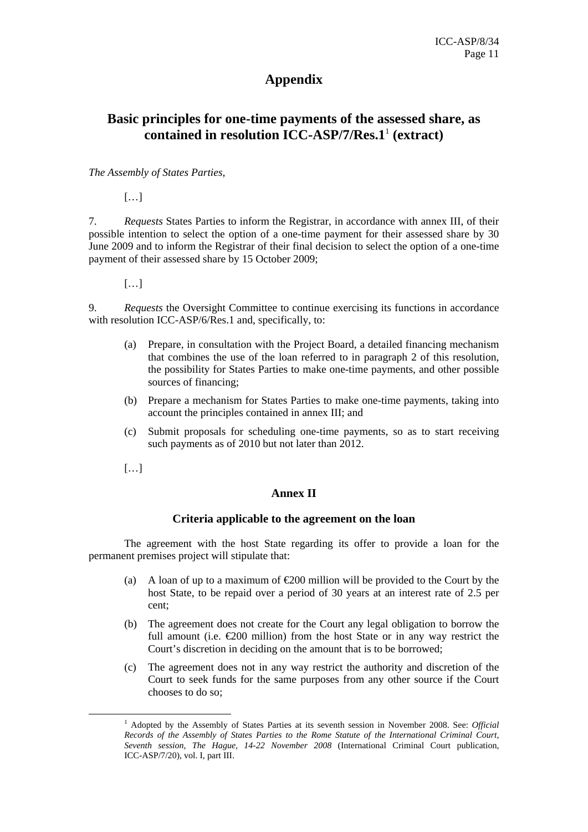# **Appendix**

# **Basic principles for one-time payments of the assessed share, as contained in resolution ICC-ASP/7/Res.1**<sup>1</sup> **(extract)**

#### *The Assembly of States Parties,*

[…]

7. *Requests* States Parties to inform the Registrar, in accordance with annex III, of their possible intention to select the option of a one-time payment for their assessed share by 30 June 2009 and to inform the Registrar of their final decision to select the option of a one-time payment of their assessed share by 15 October 2009;

[…]

9. *Requests* the Oversight Committee to continue exercising its functions in accordance with resolution ICC-ASP/6/Res.1 and, specifically, to:

- (a) Prepare, in consultation with the Project Board, a detailed financing mechanism that combines the use of the loan referred to in paragraph 2 of this resolution, the possibility for States Parties to make one-time payments, and other possible sources of financing;
- (b) Prepare a mechanism for States Parties to make one-time payments, taking into account the principles contained in annex III; and
- (c) Submit proposals for scheduling one-time payments, so as to start receiving such payments as of 2010 but not later than 2012.

[…]

#### **Annex II**

#### **Criteria applicable to the agreement on the loan**

 The agreement with the host State regarding its offer to provide a loan for the permanent premises project will stipulate that:

- (a) A loan of up to a maximum of  $\epsilon$  200 million will be provided to the Court by the host State, to be repaid over a period of 30 years at an interest rate of 2.5 per cent;
- (b) The agreement does not create for the Court any legal obligation to borrow the full amount (i.e.  $\epsilon$ 200 million) from the host State or in any way restrict the Court's discretion in deciding on the amount that is to be borrowed;
- (c) The agreement does not in any way restrict the authority and discretion of the Court to seek funds for the same purposes from any other source if the Court chooses to do so;

<sup>1</sup> <sup>1</sup> Adopted by the Assembly of States Parties at its seventh session in November 2008. See: *Official Records of the Assembly of States Parties to the Rome Statute of the International Criminal Court, Seventh session, The Hague, 14-22 November 2008* (International Criminal Court publication, ICC-ASP/7/20), vol. I, part III.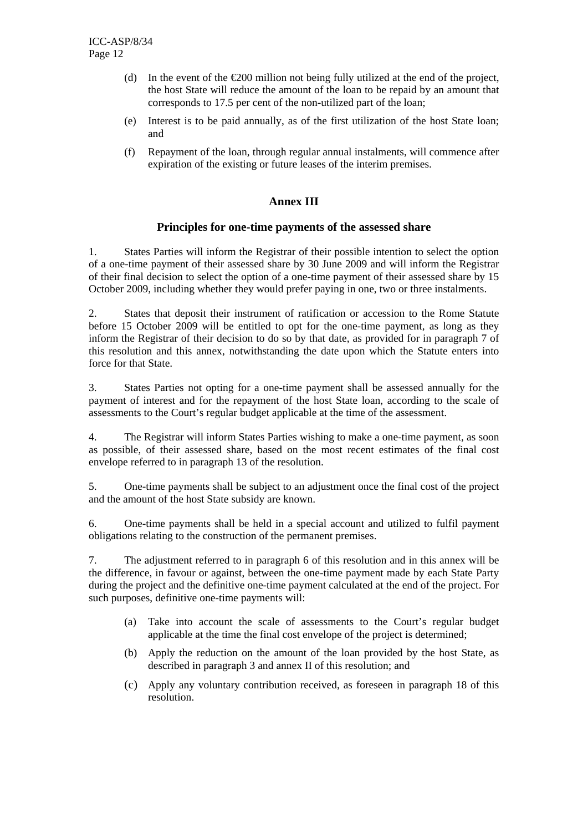- (d) In the event of the  $\epsilon$ 200 million not being fully utilized at the end of the project, the host State will reduce the amount of the loan to be repaid by an amount that corresponds to 17.5 per cent of the non-utilized part of the loan;
- (e) Interest is to be paid annually, as of the first utilization of the host State loan; and
- (f) Repayment of the loan, through regular annual instalments, will commence after expiration of the existing or future leases of the interim premises.

### **Annex III**

#### **Principles for one-time payments of the assessed share**

1. States Parties will inform the Registrar of their possible intention to select the option of a one-time payment of their assessed share by 30 June 2009 and will inform the Registrar of their final decision to select the option of a one-time payment of their assessed share by 15 October 2009, including whether they would prefer paying in one, two or three instalments.

2. States that deposit their instrument of ratification or accession to the Rome Statute before 15 October 2009 will be entitled to opt for the one-time payment, as long as they inform the Registrar of their decision to do so by that date, as provided for in paragraph 7 of this resolution and this annex, notwithstanding the date upon which the Statute enters into force for that State.

3. States Parties not opting for a one-time payment shall be assessed annually for the payment of interest and for the repayment of the host State loan, according to the scale of assessments to the Court's regular budget applicable at the time of the assessment.

4. The Registrar will inform States Parties wishing to make a one-time payment, as soon as possible, of their assessed share, based on the most recent estimates of the final cost envelope referred to in paragraph 13 of the resolution.

5. One-time payments shall be subject to an adjustment once the final cost of the project and the amount of the host State subsidy are known.

6. One-time payments shall be held in a special account and utilized to fulfil payment obligations relating to the construction of the permanent premises.

7. The adjustment referred to in paragraph 6 of this resolution and in this annex will be the difference, in favour or against, between the one-time payment made by each State Party during the project and the definitive one-time payment calculated at the end of the project. For such purposes, definitive one-time payments will:

- (a) Take into account the scale of assessments to the Court's regular budget applicable at the time the final cost envelope of the project is determined;
- (b) Apply the reduction on the amount of the loan provided by the host State, as described in paragraph 3 and annex II of this resolution; and
- (c) Apply any voluntary contribution received, as foreseen in paragraph 18 of this resolution.